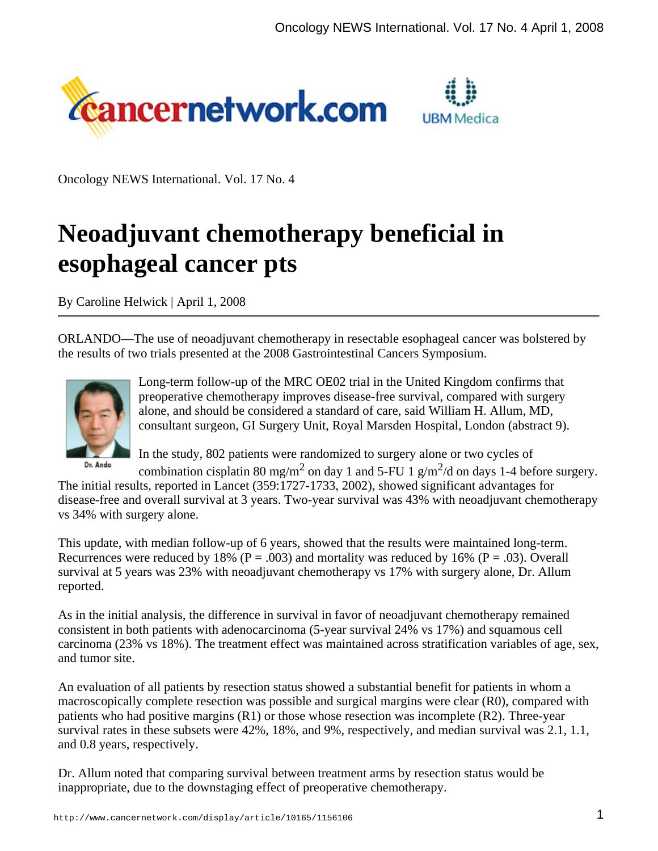



Oncology NEWS International. Vol. 17 No. 4

# **Neoadjuvant chemotherapy beneficial in esophageal cancer pts**

By Caroline Helwick | April 1, 2008

ORLANDO—The use of neoadjuvant chemotherapy in resectable esophageal cancer was bolstered by the results of two trials presented at the 2008 Gastrointestinal Cancers Symposium.



Long-term follow-up of the MRC OE02 trial in the United Kingdom confirms that preoperative chemotherapy improves disease-free survival, compared with surgery alone, and should be considered a standard of care, said William H. Allum, MD, consultant surgeon, GI Surgery Unit, Royal Marsden Hospital, London (abstract 9).

Dr. Ando

In the study, 802 patients were randomized to surgery alone or two cycles of combination cisplatin 80 mg/m<sup>2</sup> on day 1 and 5-FU 1 g/m<sup>2</sup>/d on days 1-4 before surgery.

The initial results, reported in Lancet (359:1727-1733, 2002), showed significant advantages for disease-free and overall survival at 3 years. Two-year survival was 43% with neoadjuvant chemotherapy vs 34% with surgery alone.

This update, with median follow-up of 6 years, showed that the results were maintained long-term. Recurrences were reduced by 18% ( $P = .003$ ) and mortality was reduced by 16% ( $P = .03$ ). Overall survival at 5 years was 23% with neoadjuvant chemotherapy vs 17% with surgery alone, Dr. Allum reported.

As in the initial analysis, the difference in survival in favor of neoadjuvant chemotherapy remained consistent in both patients with adenocarcinoma (5-year survival 24% vs 17%) and squamous cell carcinoma (23% vs 18%). The treatment effect was maintained across stratification variables of age, sex, and tumor site.

An evaluation of all patients by resection status showed a substantial benefit for patients in whom a macroscopically complete resection was possible and surgical margins were clear (R0), compared with patients who had positive margins  $(R1)$  or those whose resection was incomplete  $(R2)$ . Three-year survival rates in these subsets were 42%, 18%, and 9%, respectively, and median survival was 2.1, 1.1, and 0.8 years, respectively.

Dr. Allum noted that comparing survival between treatment arms by resection status would be inappropriate, due to the downstaging effect of preoperative chemotherapy.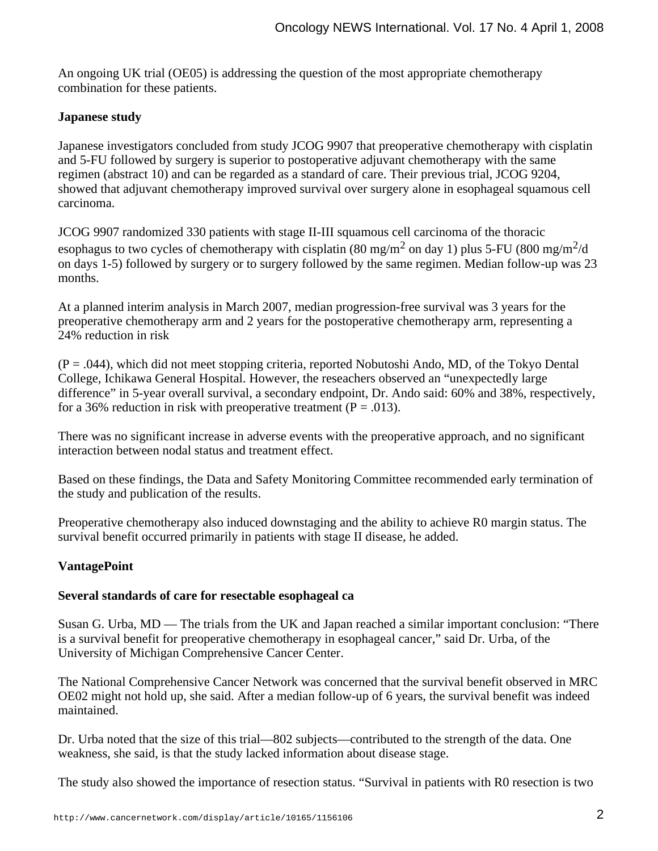An ongoing UK trial (OE05) is addressing the question of the most appropriate chemotherapy combination for these patients.

## **Japanese study**

Japanese investigators concluded from study JCOG 9907 that preoperative chemotherapy with cisplatin and 5-FU followed by surgery is superior to postoperative adjuvant chemotherapy with the same regimen (abstract 10) and can be regarded as a standard of care. Their previous trial, JCOG 9204, showed that adjuvant chemotherapy improved survival over surgery alone in esophageal squamous cell carcinoma.

JCOG 9907 randomized 330 patients with stage II-III squamous cell carcinoma of the thoracic esophagus to two cycles of chemotherapy with cisplatin (80 mg/m<sup>2</sup> on day 1) plus 5-FU (800 mg/m<sup>2</sup>/d on days 1-5) followed by surgery or to surgery followed by the same regimen. Median follow-up was 23 months.

At a planned interim analysis in March 2007, median progression-free survival was 3 years for the preoperative chemotherapy arm and 2 years for the postoperative chemotherapy arm, representing a 24% reduction in risk

 $(P = .044)$ , which did not meet stopping criteria, reported Nobutoshi Ando, MD, of the Tokyo Dental College, Ichikawa General Hospital. However, the reseachers observed an "unexpectedly large difference" in 5-year overall survival, a secondary endpoint, Dr. Ando said: 60% and 38%, respectively, for a 36% reduction in risk with preoperative treatment ( $P = .013$ ).

There was no significant increase in adverse events with the preoperative approach, and no significant interaction between nodal status and treatment effect.

Based on these findings, the Data and Safety Monitoring Committee recommended early termination of the study and publication of the results.

Preoperative chemotherapy also induced downstaging and the ability to achieve R0 margin status. The survival benefit occurred primarily in patients with stage II disease, he added.

## **VantagePoint**

### **Several standards of care for resectable esophageal ca**

Susan G. Urba, MD — The trials from the UK and Japan reached a similar important conclusion: "There is a survival benefit for preoperative chemotherapy in esophageal cancer," said Dr. Urba, of the University of Michigan Comprehensive Cancer Center.

The National Comprehensive Cancer Network was concerned that the survival benefit observed in MRC OE02 might not hold up, she said. After a median follow-up of 6 years, the survival benefit was indeed maintained.

Dr. Urba noted that the size of this trial—802 subjects—contributed to the strength of the data. One weakness, she said, is that the study lacked information about disease stage.

The study also showed the importance of resection status. "Survival in patients with R0 resection is two